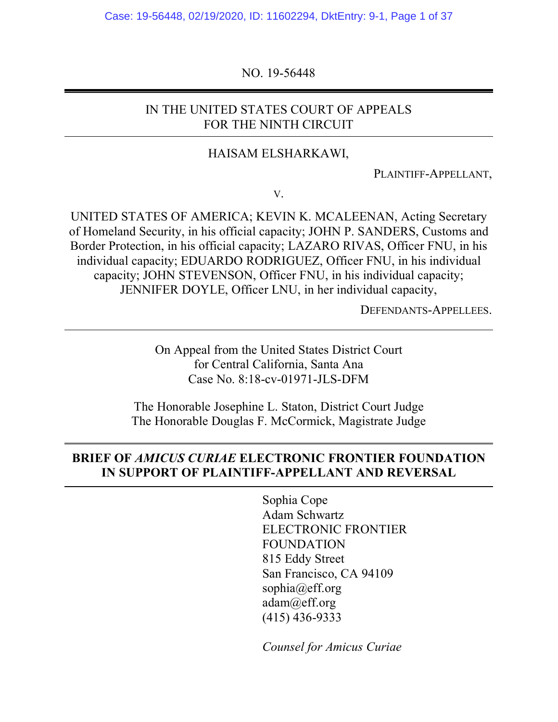Case: 19-56448, 02/19/2020, ID: 11602294, DktEntry: 9-1, Page 1 of 37

NO. 19-56448

## IN THE UNITED STATES COURT OF APPEALS FOR THE NINTH CIRCUIT

#### HAISAM ELSHARKAWI,

PLAINTIFF-APPELLANT,

V.

UNITED STATES OF AMERICA; KEVIN K. MCALEENAN, Acting Secretary of Homeland Security, in his official capacity; JOHN P. SANDERS, Customs and Border Protection, in his official capacity; LAZARO RIVAS, Officer FNU, in his individual capacity; EDUARDO RODRIGUEZ, Officer FNU, in his individual capacity; JOHN STEVENSON, Officer FNU, in his individual capacity; JENNIFER DOYLE, Officer LNU, in her individual capacity,

DEFENDANTS-APPELLEES.

On Appeal from the United States District Court for Central California, Santa Ana Case No. 8:18-cv-01971-JLS-DFM

The Honorable Josephine L. Staton, District Court Judge The Honorable Douglas F. McCormick, Magistrate Judge

## **BRIEF OF** *AMICUS CURIAE* **ELECTRONIC FRONTIER FOUNDATION IN SUPPORT OF PLAINTIFF-APPELLANT AND REVERSAL**

Sophia Cope Adam Schwartz ELECTRONIC FRONTIER FOUNDATION 815 Eddy Street San Francisco, CA 94109 sophia@eff.org adam@eff.org (415) 436-9333

*Counsel for Amicus Curiae*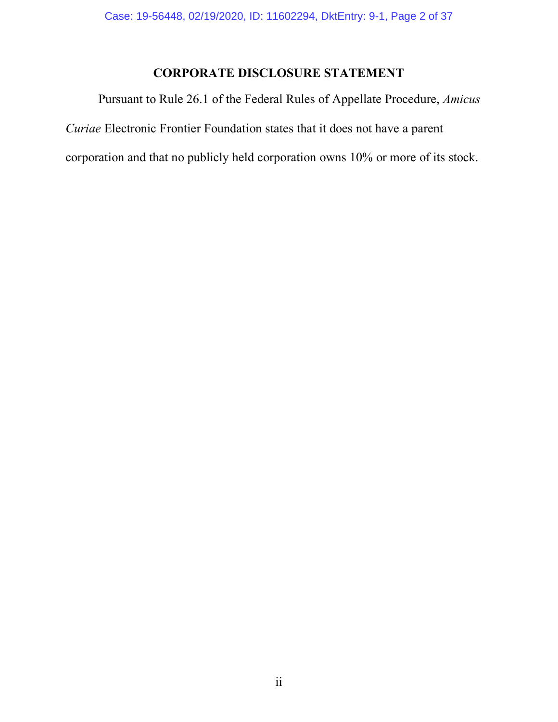# **CORPORATE DISCLOSURE STATEMENT**

Pursuant to Rule 26.1 of the Federal Rules of Appellate Procedure, *Amicus Curiae* Electronic Frontier Foundation states that it does not have a parent corporation and that no publicly held corporation owns 10% or more of its stock.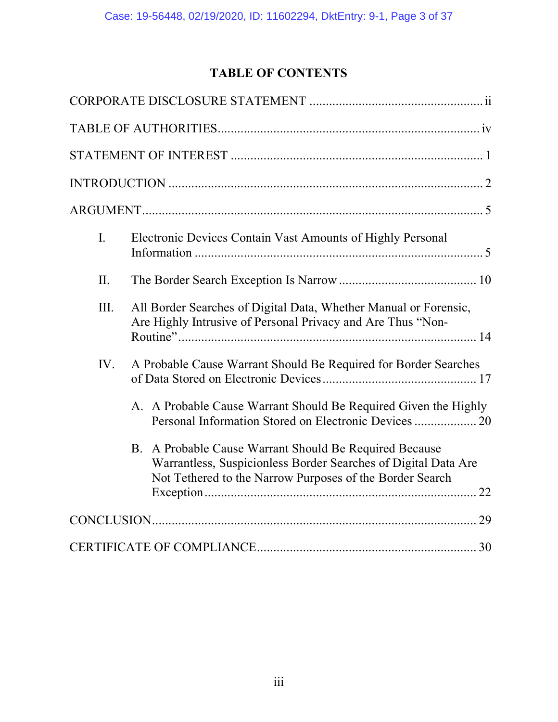# **TABLE OF CONTENTS**

| $\overline{L}$ | Electronic Devices Contain Vast Amounts of Highly Personal                                                                                                                           |  |
|----------------|--------------------------------------------------------------------------------------------------------------------------------------------------------------------------------------|--|
| II.            |                                                                                                                                                                                      |  |
| Ш.             | All Border Searches of Digital Data, Whether Manual or Forensic,<br>Are Highly Intrusive of Personal Privacy and Are Thus "Non-                                                      |  |
| IV.            | A Probable Cause Warrant Should Be Required for Border Searches                                                                                                                      |  |
|                | A. A Probable Cause Warrant Should Be Required Given the Highly                                                                                                                      |  |
|                | B. A Probable Cause Warrant Should Be Required Because<br>Warrantless, Suspicionless Border Searches of Digital Data Are<br>Not Tethered to the Narrow Purposes of the Border Search |  |
|                |                                                                                                                                                                                      |  |
|                |                                                                                                                                                                                      |  |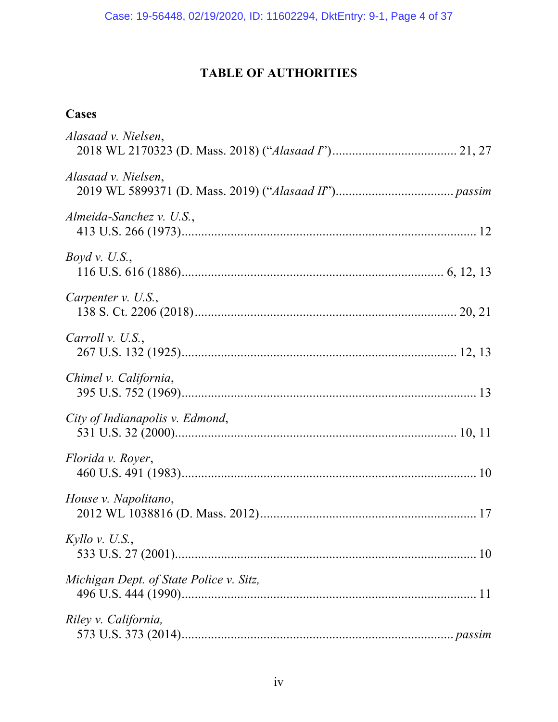# **TABLE OF AUTHORITIES**

# **Cases**

| Alasaad v. Nielsen,                     |
|-----------------------------------------|
| Alasaad v. Nielsen,                     |
| Almeida-Sanchez v. U.S.,                |
| Boyd v. U.S.,                           |
| Carpenter $v.$ U.S.,                    |
| Carroll v. U.S.,                        |
| Chimel v. California,                   |
| City of Indianapolis v. Edmond,         |
| Florida v. Royer,                       |
| House v. Napolitano,                    |
| Kyllo v. U.S.,                          |
| Michigan Dept. of State Police v. Sitz, |
| Riley v. California,                    |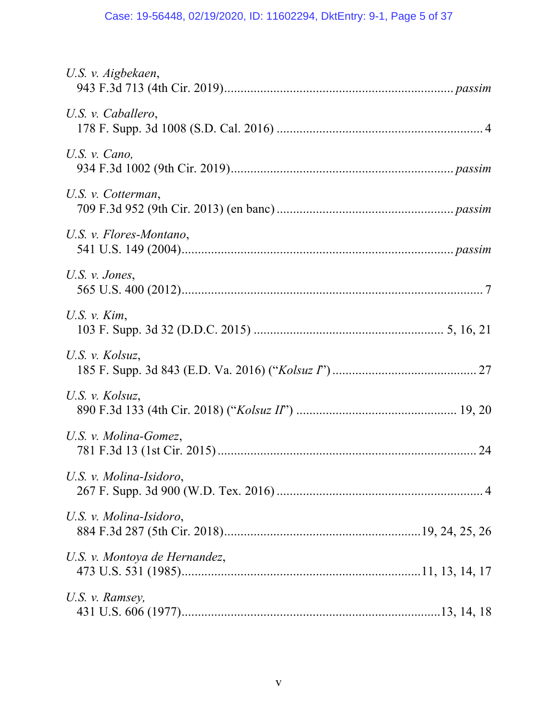# Case: 19-56448, 02/19/2020, ID: 11602294, DktEntry: 9-1, Page 5 of 37

| U.S. v. Aigbekaen,            |  |
|-------------------------------|--|
| U.S. v. Caballero,            |  |
| U.S. $v. Cano,$               |  |
| U.S. v. Cotterman,            |  |
| U.S. v. Flores-Montano,       |  |
| U.S. $\nu$ . Jones,           |  |
| U.S. $v$ . Kim,               |  |
| U.S. v. Kolsuz,               |  |
| U.S. v. Kolsuz,               |  |
| U.S. v. Molina-Gomez,         |  |
| U.S. v. Molina-Isidoro,       |  |
| U.S. v. Molina-Isidoro,       |  |
| U.S. v. Montoya de Hernandez, |  |
| U.S. v. Ramsey,               |  |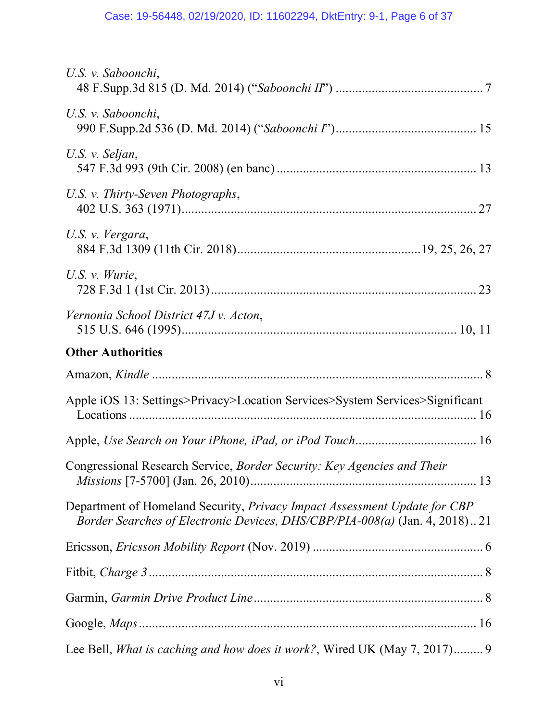| U.S. v. Saboonchi,                                                                                                                                      |  |
|---------------------------------------------------------------------------------------------------------------------------------------------------------|--|
| U.S. v. Saboonchi,                                                                                                                                      |  |
| U.S. v. Seljan,                                                                                                                                         |  |
| U.S. v. Thirty-Seven Photographs,                                                                                                                       |  |
| U.S. v. Vergara,                                                                                                                                        |  |
| U.S. $v.$ Wurie,                                                                                                                                        |  |
| Vernonia School District 47J v. Acton,                                                                                                                  |  |
| <b>Other Authorities</b>                                                                                                                                |  |
|                                                                                                                                                         |  |
| Apple iOS 13: Settings>Privacy>Location Services>System Services>Significant                                                                            |  |
|                                                                                                                                                         |  |
| Congressional Research Service, Border Security: Key Agencies and Their                                                                                 |  |
| Department of Homeland Security, Privacy Impact Assessment Update for CBP<br>Border Searches of Electronic Devices, DHS/CBP/PIA-008(a) (Jan. 4, 2018)21 |  |
|                                                                                                                                                         |  |
|                                                                                                                                                         |  |
|                                                                                                                                                         |  |
|                                                                                                                                                         |  |
| Lee Bell, <i>What is caching and how does it work?</i> , Wired UK (May 7, 2017) 9                                                                       |  |
|                                                                                                                                                         |  |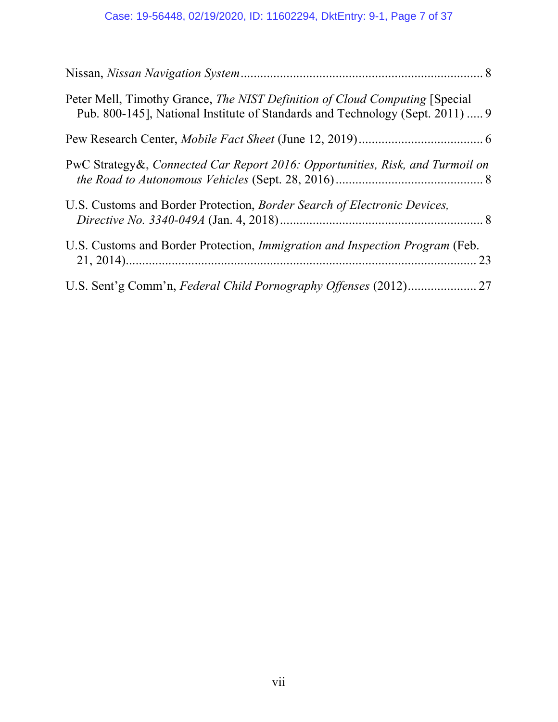| Peter Mell, Timothy Grance, <i>The NIST Definition of Cloud Computing</i> [Special]<br>Pub. 800-145], National Institute of Standards and Technology (Sept. 2011)  9 |  |
|----------------------------------------------------------------------------------------------------------------------------------------------------------------------|--|
|                                                                                                                                                                      |  |
| PwC Strategy &, Connected Car Report 2016: Opportunities, Risk, and Turmoil on                                                                                       |  |
| U.S. Customs and Border Protection, <i>Border Search of Electronic Devices</i> ,                                                                                     |  |
| U.S. Customs and Border Protection, Immigration and Inspection Program (Feb.<br>23                                                                                   |  |
|                                                                                                                                                                      |  |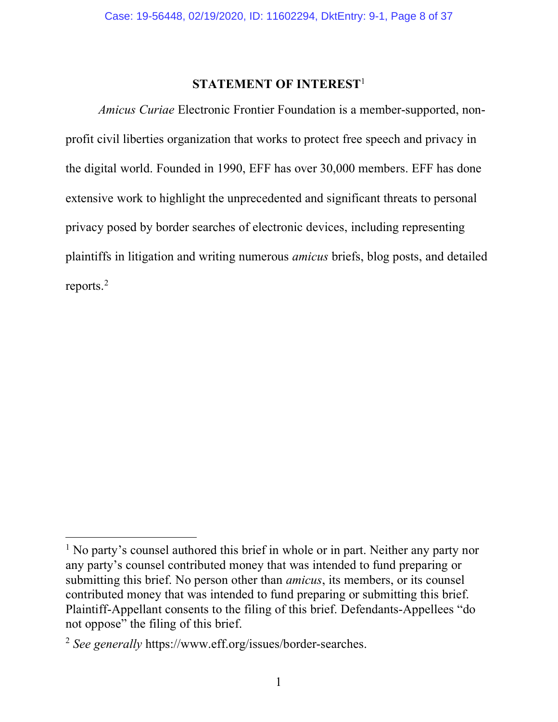### **STATEMENT OF INTEREST**<sup>1</sup>

*Amicus Curiae* Electronic Frontier Foundation is a member-supported, nonprofit civil liberties organization that works to protect free speech and privacy in the digital world. Founded in 1990, EFF has over 30,000 members. EFF has done extensive work to highlight the unprecedented and significant threats to personal privacy posed by border searches of electronic devices, including representing plaintiffs in litigation and writing numerous *amicus* briefs, blog posts, and detailed reports. 2

<sup>&</sup>lt;sup>1</sup> No party's counsel authored this brief in whole or in part. Neither any party nor any party's counsel contributed money that was intended to fund preparing or submitting this brief. No person other than *amicus*, its members, or its counsel contributed money that was intended to fund preparing or submitting this brief. Plaintiff-Appellant consents to the filing of this brief. Defendants-Appellees "do not oppose" the filing of this brief.

<sup>2</sup> *See generally* https://www.eff.org/issues/border-searches.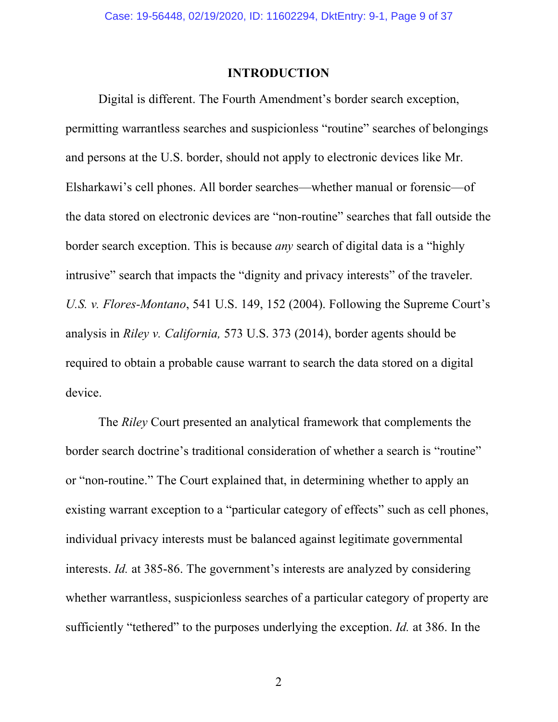#### **INTRODUCTION**

Digital is different. The Fourth Amendment's border search exception, permitting warrantless searches and suspicionless "routine" searches of belongings and persons at the U.S. border, should not apply to electronic devices like Mr. Elsharkawi's cell phones. All border searches—whether manual or forensic—of the data stored on electronic devices are "non-routine" searches that fall outside the border search exception. This is because *any* search of digital data is a "highly intrusive" search that impacts the "dignity and privacy interests" of the traveler. *U.S. v. Flores-Montano*, 541 U.S. 149, 152 (2004). Following the Supreme Court's analysis in *Riley v. California,* 573 U.S. 373 (2014), border agents should be required to obtain a probable cause warrant to search the data stored on a digital device.

The *Riley* Court presented an analytical framework that complements the border search doctrine's traditional consideration of whether a search is "routine" or "non-routine." The Court explained that, in determining whether to apply an existing warrant exception to a "particular category of effects" such as cell phones, individual privacy interests must be balanced against legitimate governmental interests. *Id.* at 385-86. The government's interests are analyzed by considering whether warrantless, suspicionless searches of a particular category of property are sufficiently "tethered" to the purposes underlying the exception. *Id.* at 386. In the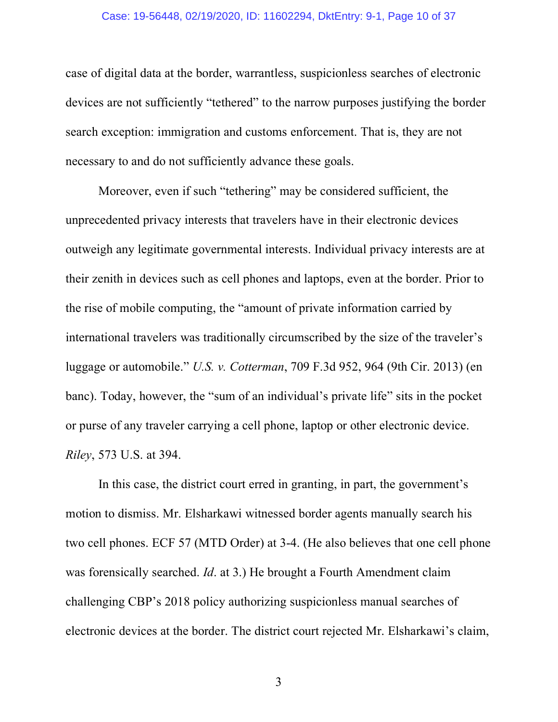#### Case: 19-56448, 02/19/2020, ID: 11602294, DktEntry: 9-1, Page 10 of 37

case of digital data at the border, warrantless, suspicionless searches of electronic devices are not sufficiently "tethered" to the narrow purposes justifying the border search exception: immigration and customs enforcement. That is, they are not necessary to and do not sufficiently advance these goals.

Moreover, even if such "tethering" may be considered sufficient, the unprecedented privacy interests that travelers have in their electronic devices outweigh any legitimate governmental interests. Individual privacy interests are at their zenith in devices such as cell phones and laptops, even at the border. Prior to the rise of mobile computing, the "amount of private information carried by international travelers was traditionally circumscribed by the size of the traveler's luggage or automobile." *U.S. v. Cotterman*, 709 F.3d 952, 964 (9th Cir. 2013) (en banc). Today, however, the "sum of an individual's private life" sits in the pocket or purse of any traveler carrying a cell phone, laptop or other electronic device. *Riley*, 573 U.S. at 394.

In this case, the district court erred in granting, in part, the government's motion to dismiss. Mr. Elsharkawi witnessed border agents manually search his two cell phones. ECF 57 (MTD Order) at 3-4. (He also believes that one cell phone was forensically searched. *Id*. at 3.) He brought a Fourth Amendment claim challenging CBP's 2018 policy authorizing suspicionless manual searches of electronic devices at the border. The district court rejected Mr. Elsharkawi's claim,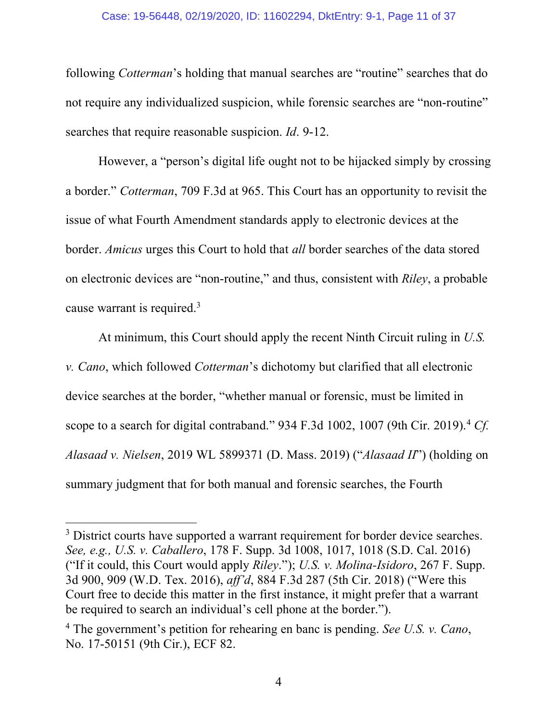#### Case: 19-56448, 02/19/2020, ID: 11602294, DktEntry: 9-1, Page 11 of 37

following *Cotterman*'s holding that manual searches are "routine" searches that do not require any individualized suspicion, while forensic searches are "non-routine" searches that require reasonable suspicion. *Id*. 9-12.

However, a "person's digital life ought not to be hijacked simply by crossing a border." *Cotterman*, 709 F.3d at 965. This Court has an opportunity to revisit the issue of what Fourth Amendment standards apply to electronic devices at the border. *Amicus* urges this Court to hold that *all* border searches of the data stored on electronic devices are "non-routine," and thus, consistent with *Riley*, a probable cause warrant is required.<sup>3</sup>

At minimum, this Court should apply the recent Ninth Circuit ruling in *U.S. v. Cano*, which followed *Cotterman*'s dichotomy but clarified that all electronic device searches at the border, "whether manual or forensic, must be limited in scope to a search for digital contraband." 934 F.3d 1002, 1007 (9th Cir. 2019).4 *Cf. Alasaad v. Nielsen*, 2019 WL 5899371 (D. Mass. 2019) ("*Alasaad II*") (holding on summary judgment that for both manual and forensic searches, the Fourth

<sup>&</sup>lt;sup>3</sup> District courts have supported a warrant requirement for border device searches. *See, e.g., U.S. v. Caballero*, 178 F. Supp. 3d 1008, 1017, 1018 (S.D. Cal. 2016) ("If it could, this Court would apply *Riley*."); *U.S. v. Molina-Isidoro*, 267 F. Supp. 3d 900, 909 (W.D. Tex. 2016), *aff'd*, 884 F.3d 287 (5th Cir. 2018) ("Were this Court free to decide this matter in the first instance, it might prefer that a warrant be required to search an individual's cell phone at the border.").

<sup>4</sup> The government's petition for rehearing en banc is pending. *See U.S. v. Cano*, No. 17-50151 (9th Cir.), ECF 82.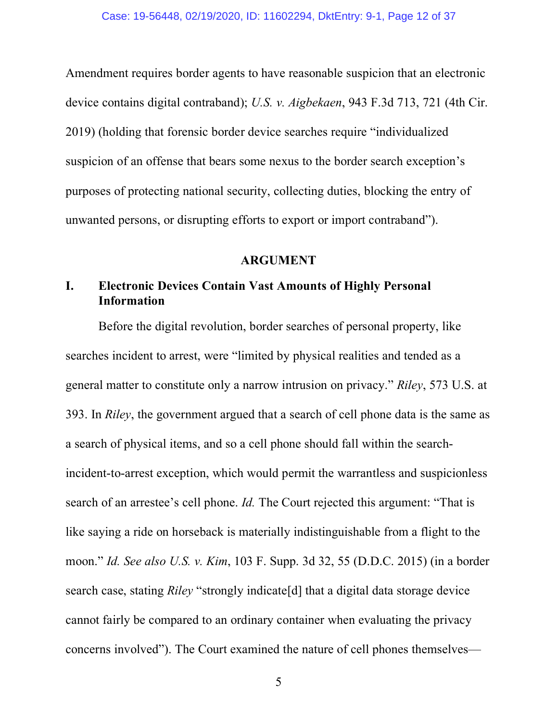Amendment requires border agents to have reasonable suspicion that an electronic device contains digital contraband); *U.S. v. Aigbekaen*, 943 F.3d 713, 721 (4th Cir. 2019) (holding that forensic border device searches require "individualized suspicion of an offense that bears some nexus to the border search exception's purposes of protecting national security, collecting duties, blocking the entry of unwanted persons, or disrupting efforts to export or import contraband").

#### **ARGUMENT**

# **I. Electronic Devices Contain Vast Amounts of Highly Personal Information**

Before the digital revolution, border searches of personal property, like searches incident to arrest, were "limited by physical realities and tended as a general matter to constitute only a narrow intrusion on privacy." *Riley*, 573 U.S. at 393. In *Riley*, the government argued that a search of cell phone data is the same as a search of physical items, and so a cell phone should fall within the searchincident-to-arrest exception, which would permit the warrantless and suspicionless search of an arrestee's cell phone. *Id.* The Court rejected this argument: "That is like saying a ride on horseback is materially indistinguishable from a flight to the moon." *Id. See also U.S. v. Kim*, 103 F. Supp. 3d 32, 55 (D.D.C. 2015) (in a border search case, stating *Riley* "strongly indicate[d] that a digital data storage device cannot fairly be compared to an ordinary container when evaluating the privacy concerns involved"). The Court examined the nature of cell phones themselves—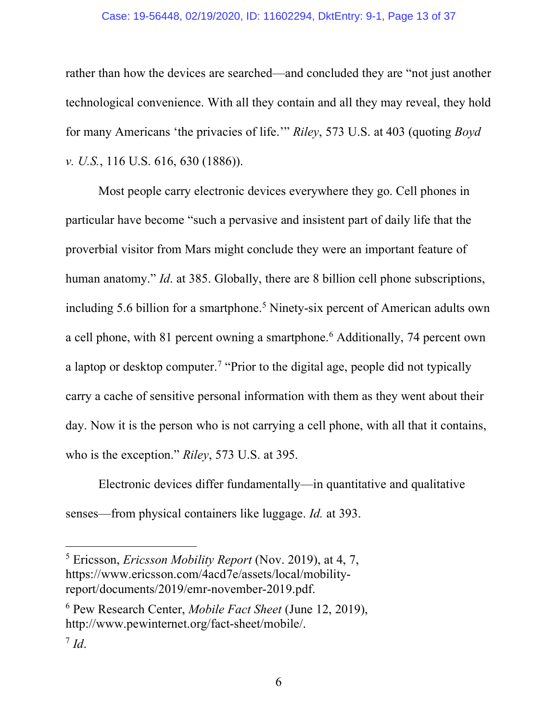#### Case: 19-56448, 02/19/2020, ID: 11602294, DktEntry: 9-1, Page 13 of 37

rather than how the devices are searched—and concluded they are "not just another technological convenience. With all they contain and all they may reveal, they hold for many Americans 'the privacies of life.'" *Riley*, 573 U.S. at 403 (quoting *Boyd v. U.S.*, 116 U.S. 616, 630 (1886)).

Most people carry electronic devices everywhere they go. Cell phones in particular have become "such a pervasive and insistent part of daily life that the proverbial visitor from Mars might conclude they were an important feature of human anatomy." *Id.* at 385. Globally, there are 8 billion cell phone subscriptions, including 5.6 billion for a smartphone.<sup>5</sup> Ninety-six percent of American adults own a cell phone, with 81 percent owning a smartphone.<sup>6</sup> Additionally, 74 percent own a laptop or desktop computer.7 "Prior to the digital age, people did not typically carry a cache of sensitive personal information with them as they went about their day. Now it is the person who is not carrying a cell phone, with all that it contains, who is the exception." *Riley*, 573 U.S. at 395.

Electronic devices differ fundamentally—in quantitative and qualitative senses—from physical containers like luggage. *Id.* at 393.

 <sup>5</sup> Ericsson, *Ericsson Mobility Report* (Nov. 2019), at 4, 7, https://www.ericsson.com/4acd7e/assets/local/mobilityreport/documents/2019/emr-november-2019.pdf.

<sup>6</sup> Pew Research Center, *Mobile Fact Sheet* (June 12, 2019), http://www.pewinternet.org/fact-sheet/mobile/.

 $^7$  *Id*.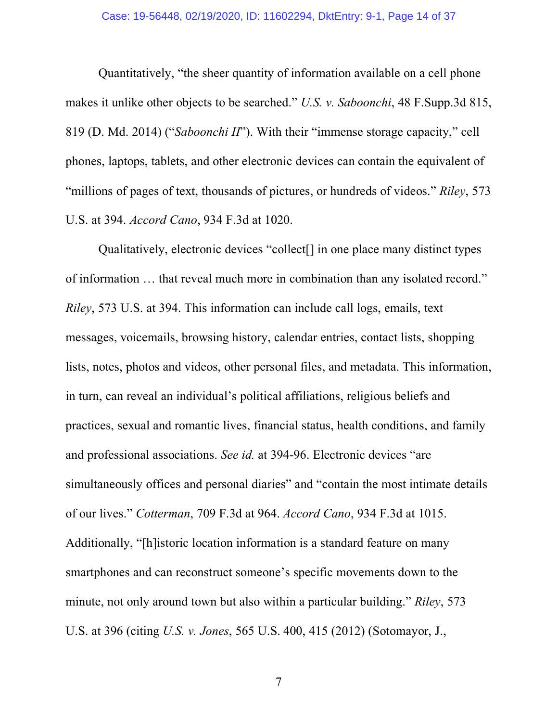Quantitatively, "the sheer quantity of information available on a cell phone makes it unlike other objects to be searched." *U.S. v. Saboonchi*, 48 F.Supp.3d 815, 819 (D. Md. 2014) ("*Saboonchi II*"). With their "immense storage capacity," cell phones, laptops, tablets, and other electronic devices can contain the equivalent of "millions of pages of text, thousands of pictures, or hundreds of videos." *Riley*, 573 U.S. at 394. *Accord Cano*, 934 F.3d at 1020.

Qualitatively, electronic devices "collect[] in one place many distinct types of information … that reveal much more in combination than any isolated record." *Riley*, 573 U.S. at 394. This information can include call logs, emails, text messages, voicemails, browsing history, calendar entries, contact lists, shopping lists, notes, photos and videos, other personal files, and metadata. This information, in turn, can reveal an individual's political affiliations, religious beliefs and practices, sexual and romantic lives, financial status, health conditions, and family and professional associations. *See id.* at 394-96. Electronic devices "are simultaneously offices and personal diaries" and "contain the most intimate details of our lives." *Cotterman*, 709 F.3d at 964. *Accord Cano*, 934 F.3d at 1015. Additionally, "[h]istoric location information is a standard feature on many smartphones and can reconstruct someone's specific movements down to the minute, not only around town but also within a particular building." *Riley*, 573 U.S. at 396 (citing *U.S. v. Jones*, 565 U.S. 400, 415 (2012) (Sotomayor, J.,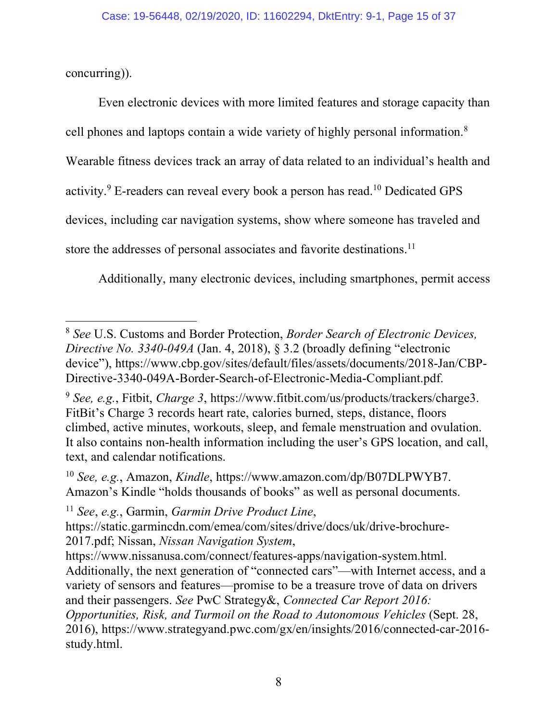concurring)).

Even electronic devices with more limited features and storage capacity than cell phones and laptops contain a wide variety of highly personal information.8 Wearable fitness devices track an array of data related to an individual's health and activity.9 E-readers can reveal every book a person has read.10 Dedicated GPS devices, including car navigation systems, show where someone has traveled and store the addresses of personal associates and favorite destinations.<sup>11</sup>

Additionally, many electronic devices, including smartphones, permit access

 <sup>8</sup> *See* U.S. Customs and Border Protection, *Border Search of Electronic Devices, Directive No. 3340-049A* (Jan. 4, 2018), § 3.2 (broadly defining "electronic device"), https://www.cbp.gov/sites/default/files/assets/documents/2018-Jan/CBP-Directive-3340-049A-Border-Search-of-Electronic-Media-Compliant.pdf.

<sup>9</sup> *See, e.g.*, Fitbit, *Charge 3*, https://www.fitbit.com/us/products/trackers/charge3. FitBit's Charge 3 records heart rate, calories burned, steps, distance, floors climbed, active minutes, workouts, sleep, and female menstruation and ovulation. It also contains non-health information including the user's GPS location, and call, text, and calendar notifications.

<sup>10</sup> *See, e.g.*, Amazon, *Kindle*, https://www.amazon.com/dp/B07DLPWYB7. Amazon's Kindle "holds thousands of books" as well as personal documents.

<sup>11</sup> *See*, *e.g.*, Garmin, *Garmin Drive Product Line*,

https://static.garmincdn.com/emea/com/sites/drive/docs/uk/drive-brochure-2017.pdf; Nissan, *Nissan Navigation System*,

https://www.nissanusa.com/connect/features-apps/navigation-system.html. Additionally, the next generation of "connected cars"—with Internet access, and a variety of sensors and features—promise to be a treasure trove of data on drivers and their passengers. *See* PwC Strategy&, *Connected Car Report 2016:* 

*Opportunities, Risk, and Turmoil on the Road to Autonomous Vehicles* (Sept. 28, 2016), https://www.strategyand.pwc.com/gx/en/insights/2016/connected-car-2016 study.html.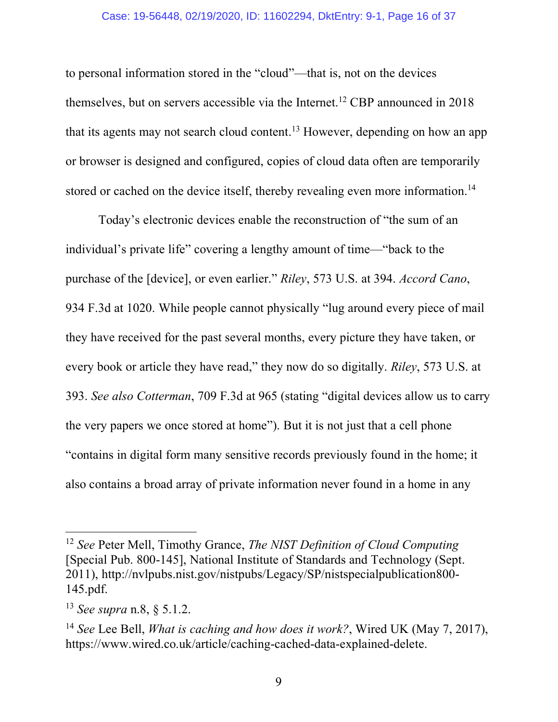#### Case: 19-56448, 02/19/2020, ID: 11602294, DktEntry: 9-1, Page 16 of 37

to personal information stored in the "cloud"—that is, not on the devices themselves, but on servers accessible via the Internet.<sup>12</sup> CBP announced in  $2018$ that its agents may not search cloud content.<sup>13</sup> However, depending on how an app or browser is designed and configured, copies of cloud data often are temporarily stored or cached on the device itself, thereby revealing even more information.<sup>14</sup>

Today's electronic devices enable the reconstruction of "the sum of an individual's private life" covering a lengthy amount of time—"back to the purchase of the [device], or even earlier." *Riley*, 573 U.S. at 394. *Accord Cano*, 934 F.3d at 1020. While people cannot physically "lug around every piece of mail they have received for the past several months, every picture they have taken, or every book or article they have read," they now do so digitally. *Riley*, 573 U.S. at 393. *See also Cotterman*, 709 F.3d at 965 (stating "digital devices allow us to carry the very papers we once stored at home"). But it is not just that a cell phone "contains in digital form many sensitive records previously found in the home; it also contains a broad array of private information never found in a home in any

 <sup>12</sup> *See* Peter Mell, Timothy Grance, *The NIST Definition of Cloud Computing* [Special Pub. 800-145], National Institute of Standards and Technology (Sept. 2011), http://nvlpubs.nist.gov/nistpubs/Legacy/SP/nistspecialpublication800- 145.pdf.

<sup>13</sup> *See supra* n.8, § 5.1.2.

<sup>14</sup> *See* Lee Bell, *What is caching and how does it work?*, Wired UK (May 7, 2017), https://www.wired.co.uk/article/caching-cached-data-explained-delete.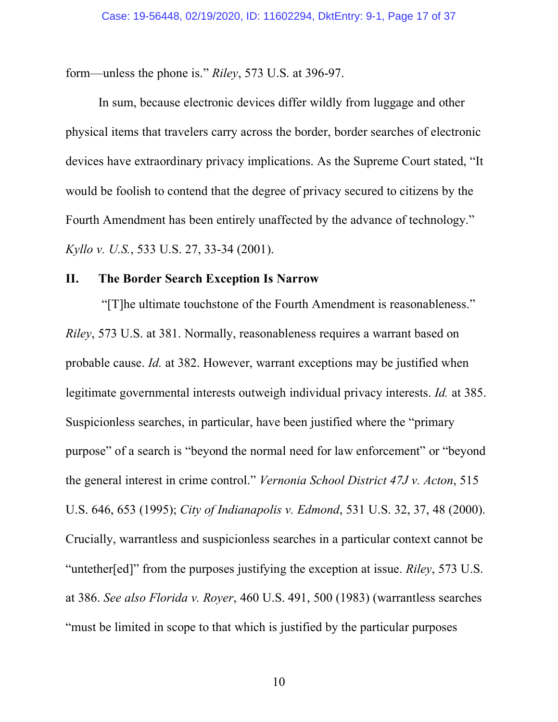form—unless the phone is." *Riley*, 573 U.S. at 396-97.

In sum, because electronic devices differ wildly from luggage and other physical items that travelers carry across the border, border searches of electronic devices have extraordinary privacy implications. As the Supreme Court stated, "It would be foolish to contend that the degree of privacy secured to citizens by the Fourth Amendment has been entirely unaffected by the advance of technology." *Kyllo v. U.S.*, 533 U.S. 27, 33-34 (2001).

### **II. The Border Search Exception Is Narrow**

"[T]he ultimate touchstone of the Fourth Amendment is reasonableness." *Riley*, 573 U.S. at 381. Normally, reasonableness requires a warrant based on probable cause. *Id.* at 382. However, warrant exceptions may be justified when legitimate governmental interests outweigh individual privacy interests. *Id.* at 385. Suspicionless searches, in particular, have been justified where the "primary purpose" of a search is "beyond the normal need for law enforcement" or "beyond the general interest in crime control." *Vernonia School District 47J v. Acton*, 515 U.S. 646, 653 (1995); *City of Indianapolis v. Edmond*, 531 U.S. 32, 37, 48 (2000). Crucially, warrantless and suspicionless searches in a particular context cannot be "untether[ed]" from the purposes justifying the exception at issue. *Riley*, 573 U.S. at 386. *See also Florida v. Royer*, 460 U.S. 491, 500 (1983) (warrantless searches "must be limited in scope to that which is justified by the particular purposes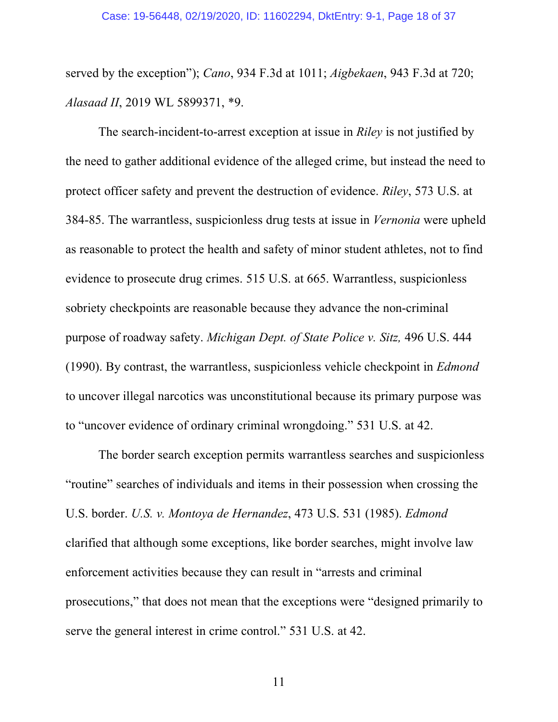served by the exception"); *Cano*, 934 F.3d at 1011; *Aigbekaen*, 943 F.3d at 720; *Alasaad II*, 2019 WL 5899371, \*9.

The search-incident-to-arrest exception at issue in *Riley* is not justified by the need to gather additional evidence of the alleged crime, but instead the need to protect officer safety and prevent the destruction of evidence. *Riley*, 573 U.S. at 384-85. The warrantless, suspicionless drug tests at issue in *Vernonia* were upheld as reasonable to protect the health and safety of minor student athletes, not to find evidence to prosecute drug crimes. 515 U.S. at 665. Warrantless, suspicionless sobriety checkpoints are reasonable because they advance the non-criminal purpose of roadway safety. *Michigan Dept. of State Police v. Sitz,* 496 U.S. 444 (1990). By contrast, the warrantless, suspicionless vehicle checkpoint in *Edmond* to uncover illegal narcotics was unconstitutional because its primary purpose was to "uncover evidence of ordinary criminal wrongdoing." 531 U.S. at 42.

The border search exception permits warrantless searches and suspicionless "routine" searches of individuals and items in their possession when crossing the U.S. border. *U.S. v. Montoya de Hernandez*, 473 U.S. 531 (1985). *Edmond* clarified that although some exceptions, like border searches, might involve law enforcement activities because they can result in "arrests and criminal prosecutions," that does not mean that the exceptions were "designed primarily to serve the general interest in crime control." 531 U.S. at 42.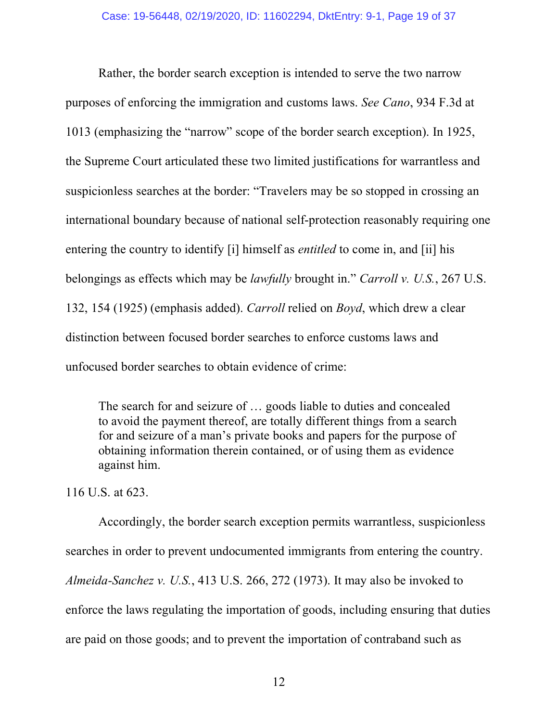Rather, the border search exception is intended to serve the two narrow purposes of enforcing the immigration and customs laws. *See Cano*, 934 F.3d at 1013 (emphasizing the "narrow" scope of the border search exception). In 1925, the Supreme Court articulated these two limited justifications for warrantless and suspicionless searches at the border: "Travelers may be so stopped in crossing an international boundary because of national self-protection reasonably requiring one entering the country to identify [i] himself as *entitled* to come in, and [ii] his belongings as effects which may be *lawfully* brought in." *Carroll v. U.S.*, 267 U.S. 132, 154 (1925) (emphasis added). *Carroll* relied on *Boyd*, which drew a clear distinction between focused border searches to enforce customs laws and unfocused border searches to obtain evidence of crime:

The search for and seizure of … goods liable to duties and concealed to avoid the payment thereof, are totally different things from a search for and seizure of a man's private books and papers for the purpose of obtaining information therein contained, or of using them as evidence against him.

116 U.S. at 623.

Accordingly, the border search exception permits warrantless, suspicionless searches in order to prevent undocumented immigrants from entering the country. *Almeida-Sanchez v. U.S.*, 413 U.S. 266, 272 (1973). It may also be invoked to enforce the laws regulating the importation of goods, including ensuring that duties are paid on those goods; and to prevent the importation of contraband such as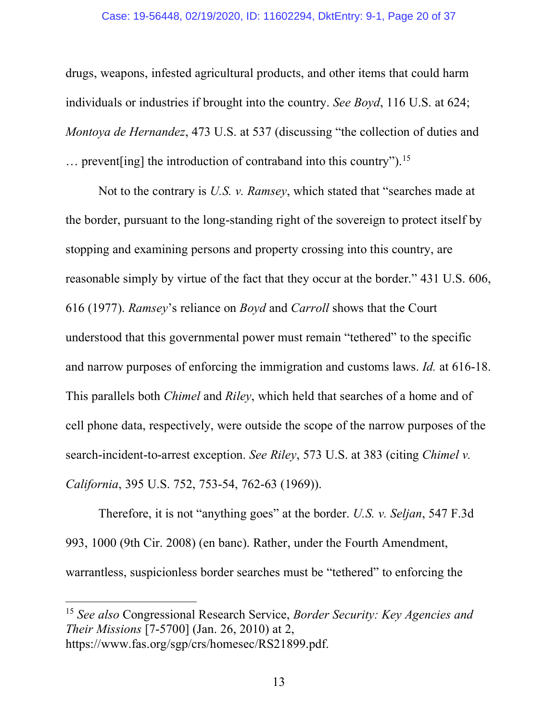#### Case: 19-56448, 02/19/2020, ID: 11602294, DktEntry: 9-1, Page 20 of 37

drugs, weapons, infested agricultural products, and other items that could harm individuals or industries if brought into the country. *See Boyd*, 116 U.S. at 624; *Montoya de Hernandez*, 473 U.S. at 537 (discussing "the collection of duties and  $\ldots$  prevent [ing] the introduction of contraband into this country").<sup>15</sup>

Not to the contrary is *U.S. v. Ramsey*, which stated that "searches made at the border, pursuant to the long-standing right of the sovereign to protect itself by stopping and examining persons and property crossing into this country, are reasonable simply by virtue of the fact that they occur at the border." 431 U.S. 606, 616 (1977). *Ramsey*'s reliance on *Boyd* and *Carroll* shows that the Court understood that this governmental power must remain "tethered" to the specific and narrow purposes of enforcing the immigration and customs laws. *Id.* at 616-18. This parallels both *Chimel* and *Riley*, which held that searches of a home and of cell phone data, respectively, were outside the scope of the narrow purposes of the search-incident-to-arrest exception. *See Riley*, 573 U.S. at 383 (citing *Chimel v. California*, 395 U.S. 752, 753-54, 762-63 (1969)).

Therefore, it is not "anything goes" at the border. *U.S. v. Seljan*, 547 F.3d 993, 1000 (9th Cir. 2008) (en banc). Rather, under the Fourth Amendment, warrantless, suspicionless border searches must be "tethered" to enforcing the

 <sup>15</sup> *See also* Congressional Research Service, *Border Security: Key Agencies and Their Missions* [7-5700] (Jan. 26, 2010) at 2, https://www.fas.org/sgp/crs/homesec/RS21899.pdf.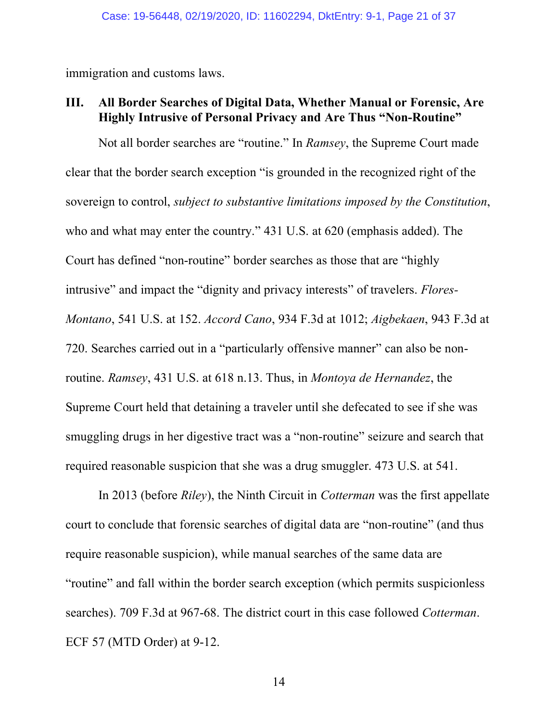immigration and customs laws.

## **III. All Border Searches of Digital Data, Whether Manual or Forensic, Are Highly Intrusive of Personal Privacy and Are Thus "Non-Routine"**

Not all border searches are "routine." In *Ramsey*, the Supreme Court made clear that the border search exception "is grounded in the recognized right of the sovereign to control, *subject to substantive limitations imposed by the Constitution*, who and what may enter the country." 431 U.S. at 620 (emphasis added). The Court has defined "non-routine" border searches as those that are "highly intrusive" and impact the "dignity and privacy interests" of travelers. *Flores-Montano*, 541 U.S. at 152. *Accord Cano*, 934 F.3d at 1012; *Aigbekaen*, 943 F.3d at 720. Searches carried out in a "particularly offensive manner" can also be nonroutine. *Ramsey*, 431 U.S. at 618 n.13. Thus, in *Montoya de Hernandez*, the Supreme Court held that detaining a traveler until she defecated to see if she was smuggling drugs in her digestive tract was a "non-routine" seizure and search that required reasonable suspicion that she was a drug smuggler. 473 U.S. at 541.

In 2013 (before *Riley*), the Ninth Circuit in *Cotterman* was the first appellate court to conclude that forensic searches of digital data are "non-routine" (and thus require reasonable suspicion), while manual searches of the same data are "routine" and fall within the border search exception (which permits suspicionless searches). 709 F.3d at 967-68. The district court in this case followed *Cotterman*. ECF 57 (MTD Order) at 9-12.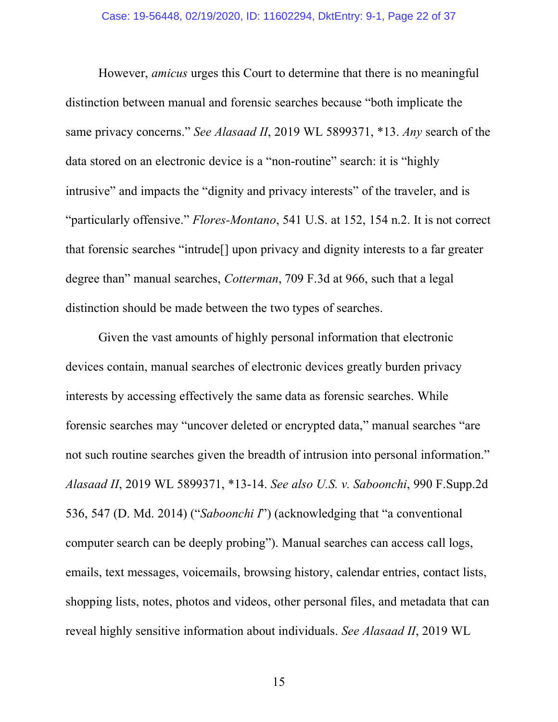However, *amicus* urges this Court to determine that there is no meaningful distinction between manual and forensic searches because "both implicate the same privacy concerns." *See Alasaad II*, 2019 WL 5899371, \*13. *Any* search of the data stored on an electronic device is a "non-routine" search: it is "highly intrusive" and impacts the "dignity and privacy interests" of the traveler, and is "particularly offensive." *Flores-Montano*, 541 U.S. at 152, 154 n.2. It is not correct that forensic searches "intrude[] upon privacy and dignity interests to a far greater degree than" manual searches, *Cotterman*, 709 F.3d at 966, such that a legal distinction should be made between the two types of searches.

Given the vast amounts of highly personal information that electronic devices contain, manual searches of electronic devices greatly burden privacy interests by accessing effectively the same data as forensic searches. While forensic searches may "uncover deleted or encrypted data," manual searches "are not such routine searches given the breadth of intrusion into personal information." *Alasaad II*, 2019 WL 5899371, \*13-14. *See also U.S. v. Saboonchi*, 990 F.Supp.2d 536, 547 (D. Md. 2014) ("*Saboonchi I*") (acknowledging that "a conventional computer search can be deeply probing"). Manual searches can access call logs, emails, text messages, voicemails, browsing history, calendar entries, contact lists, shopping lists, notes, photos and videos, other personal files, and metadata that can reveal highly sensitive information about individuals. *See Alasaad II*, 2019 WL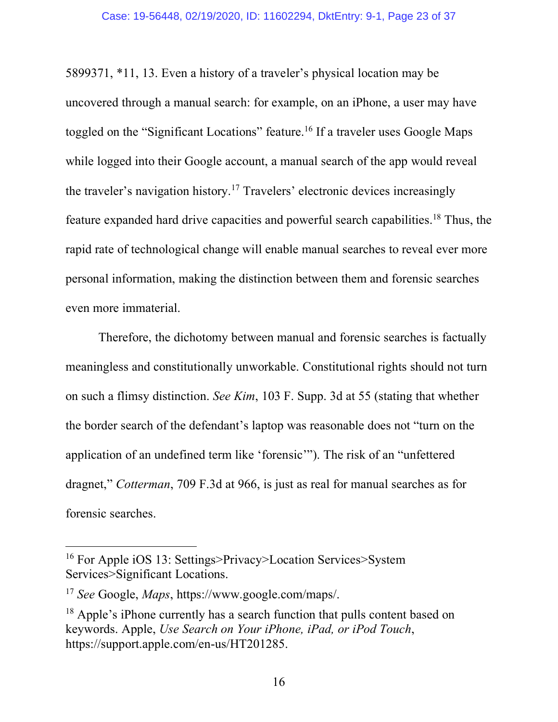5899371, \*11, 13. Even a history of a traveler's physical location may be uncovered through a manual search: for example, on an iPhone, a user may have toggled on the "Significant Locations" feature.<sup>16</sup> If a traveler uses Google Maps while logged into their Google account, a manual search of the app would reveal the traveler's navigation history.17 Travelers' electronic devices increasingly feature expanded hard drive capacities and powerful search capabilities.18 Thus, the rapid rate of technological change will enable manual searches to reveal ever more personal information, making the distinction between them and forensic searches even more immaterial.

Therefore, the dichotomy between manual and forensic searches is factually meaningless and constitutionally unworkable. Constitutional rights should not turn on such a flimsy distinction. *See Kim*, 103 F. Supp. 3d at 55 (stating that whether the border search of the defendant's laptop was reasonable does not "turn on the application of an undefined term like 'forensic'"). The risk of an "unfettered dragnet," *Cotterman*, 709 F.3d at 966, is just as real for manual searches as for forensic searches.

 <sup>16</sup> For Apple iOS 13: Settings>Privacy>Location Services>System Services>Significant Locations.

<sup>17</sup> *See* Google, *Maps*, https://www.google.com/maps/.

<sup>&</sup>lt;sup>18</sup> Apple's iPhone currently has a search function that pulls content based on keywords. Apple, *Use Search on Your iPhone, iPad, or iPod Touch*, https://support.apple.com/en-us/HT201285.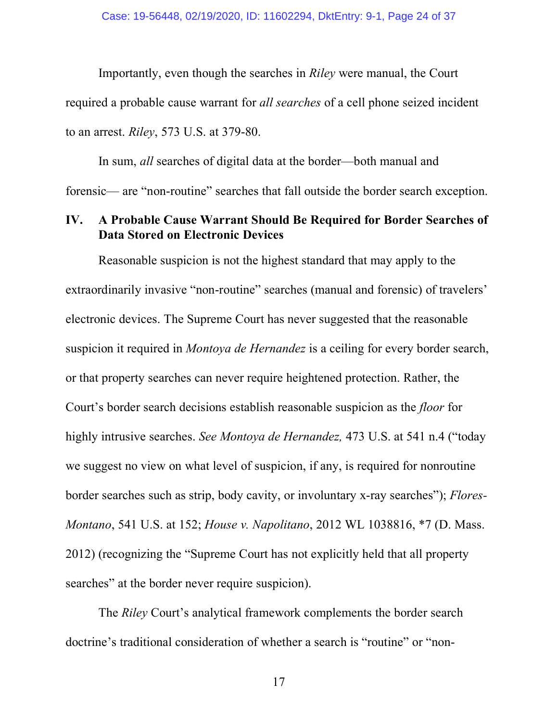Importantly, even though the searches in *Riley* were manual, the Court required a probable cause warrant for *all searches* of a cell phone seized incident to an arrest. *Riley*, 573 U.S. at 379-80.

In sum, *all* searches of digital data at the border—both manual and forensic— are "non-routine" searches that fall outside the border search exception.

## **IV. A Probable Cause Warrant Should Be Required for Border Searches of Data Stored on Electronic Devices**

Reasonable suspicion is not the highest standard that may apply to the extraordinarily invasive "non-routine" searches (manual and forensic) of travelers' electronic devices. The Supreme Court has never suggested that the reasonable suspicion it required in *Montoya de Hernandez* is a ceiling for every border search, or that property searches can never require heightened protection. Rather, the Court's border search decisions establish reasonable suspicion as the *floor* for highly intrusive searches. *See Montoya de Hernandez,* 473 U.S. at 541 n.4 ("today we suggest no view on what level of suspicion, if any, is required for nonroutine border searches such as strip, body cavity, or involuntary x-ray searches"); *Flores-Montano*, 541 U.S. at 152; *House v. Napolitano*, 2012 WL 1038816, \*7 (D. Mass. 2012) (recognizing the "Supreme Court has not explicitly held that all property searches" at the border never require suspicion).

The *Riley* Court's analytical framework complements the border search doctrine's traditional consideration of whether a search is "routine" or "non-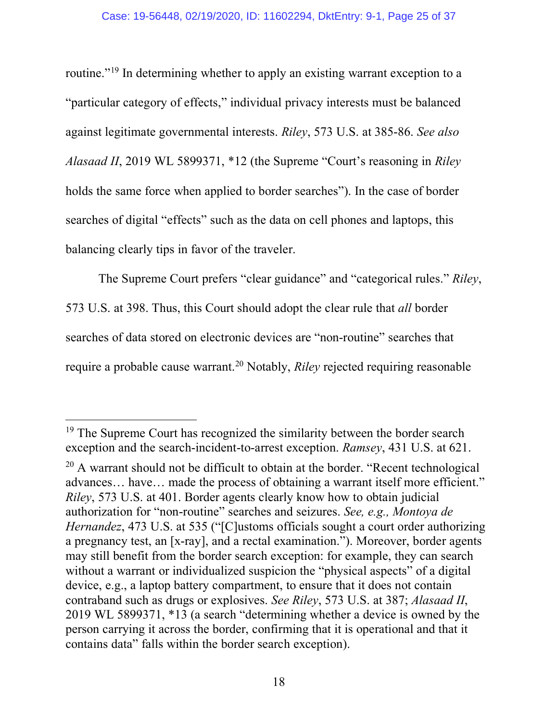#### Case: 19-56448, 02/19/2020, ID: 11602294, DktEntry: 9-1, Page 25 of 37

routine."19 In determining whether to apply an existing warrant exception to a "particular category of effects," individual privacy interests must be balanced against legitimate governmental interests. *Riley*, 573 U.S. at 385-86. *See also Alasaad II*, 2019 WL 5899371, \*12 (the Supreme "Court's reasoning in *Riley* holds the same force when applied to border searches"). In the case of border searches of digital "effects" such as the data on cell phones and laptops, this balancing clearly tips in favor of the traveler.

The Supreme Court prefers "clear guidance" and "categorical rules." *Riley*, 573 U.S. at 398. Thus, this Court should adopt the clear rule that *all* border searches of data stored on electronic devices are "non-routine" searches that require a probable cause warrant. <sup>20</sup> Notably, *Riley* rejected requiring reasonable

<sup>&</sup>lt;sup>19</sup> The Supreme Court has recognized the similarity between the border search exception and the search-incident-to-arrest exception. *Ramsey*, 431 U.S. at 621.

<sup>&</sup>lt;sup>20</sup> A warrant should not be difficult to obtain at the border. "Recent technological advances… have… made the process of obtaining a warrant itself more efficient." *Riley*, 573 U.S. at 401. Border agents clearly know how to obtain judicial authorization for "non-routine" searches and seizures. *See, e.g., Montoya de Hernandez*, 473 U.S. at 535 ("[C]ustoms officials sought a court order authorizing a pregnancy test, an [x-ray], and a rectal examination."). Moreover, border agents may still benefit from the border search exception: for example, they can search without a warrant or individualized suspicion the "physical aspects" of a digital device, e.g., a laptop battery compartment, to ensure that it does not contain contraband such as drugs or explosives. *See Riley*, 573 U.S. at 387; *Alasaad II*, 2019 WL 5899371, \*13 (a search "determining whether a device is owned by the person carrying it across the border, confirming that it is operational and that it contains data" falls within the border search exception).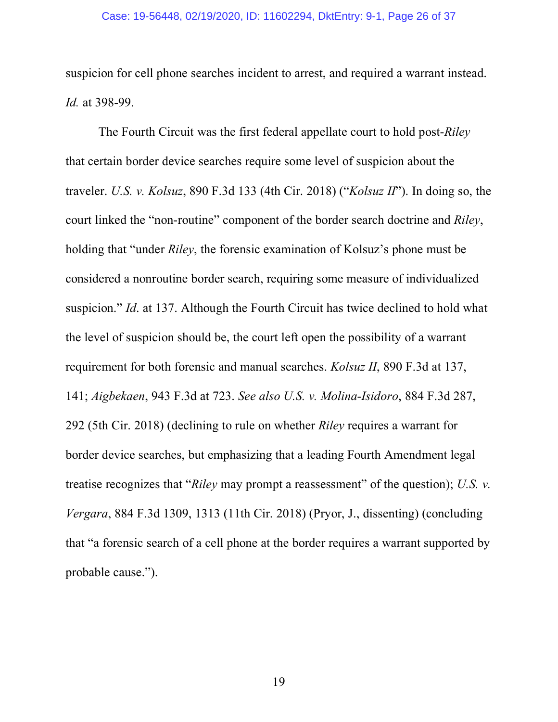#### Case: 19-56448, 02/19/2020, ID: 11602294, DktEntry: 9-1, Page 26 of 37

suspicion for cell phone searches incident to arrest, and required a warrant instead. *Id.* at 398-99.

The Fourth Circuit was the first federal appellate court to hold post-*Riley* that certain border device searches require some level of suspicion about the traveler. *U.S. v. Kolsuz*, 890 F.3d 133 (4th Cir. 2018) ("*Kolsuz II*"). In doing so, the court linked the "non-routine" component of the border search doctrine and *Riley*, holding that "under *Riley*, the forensic examination of Kolsuz's phone must be considered a nonroutine border search, requiring some measure of individualized suspicion." *Id*. at 137. Although the Fourth Circuit has twice declined to hold what the level of suspicion should be, the court left open the possibility of a warrant requirement for both forensic and manual searches. *Kolsuz II*, 890 F.3d at 137, 141; *Aigbekaen*, 943 F.3d at 723. *See also U.S. v. Molina-Isidoro*, 884 F.3d 287, 292 (5th Cir. 2018) (declining to rule on whether *Riley* requires a warrant for border device searches, but emphasizing that a leading Fourth Amendment legal treatise recognizes that "*Riley* may prompt a reassessment" of the question); *U.S. v. Vergara*, 884 F.3d 1309, 1313 (11th Cir. 2018) (Pryor, J., dissenting) (concluding that "a forensic search of a cell phone at the border requires a warrant supported by probable cause.").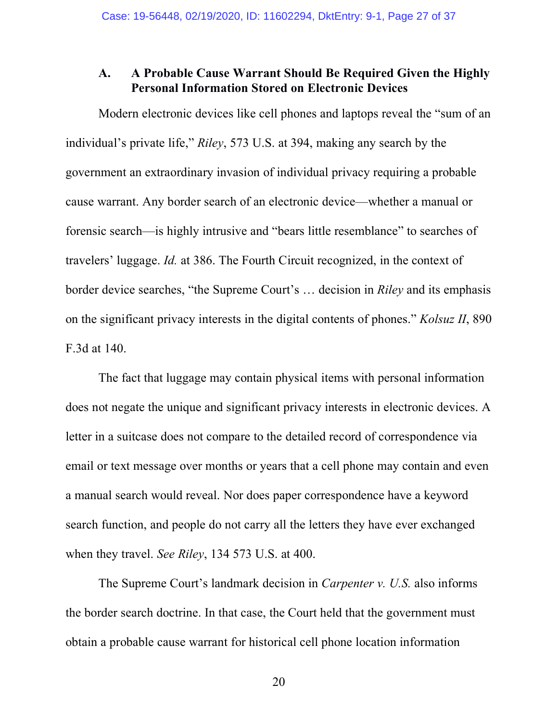# **A. A Probable Cause Warrant Should Be Required Given the Highly Personal Information Stored on Electronic Devices**

Modern electronic devices like cell phones and laptops reveal the "sum of an individual's private life," *Riley*, 573 U.S. at 394, making any search by the government an extraordinary invasion of individual privacy requiring a probable cause warrant. Any border search of an electronic device—whether a manual or forensic search—is highly intrusive and "bears little resemblance" to searches of travelers' luggage. *Id.* at 386. The Fourth Circuit recognized, in the context of border device searches, "the Supreme Court's … decision in *Riley* and its emphasis on the significant privacy interests in the digital contents of phones." *Kolsuz II*, 890 F.3d at 140.

The fact that luggage may contain physical items with personal information does not negate the unique and significant privacy interests in electronic devices. A letter in a suitcase does not compare to the detailed record of correspondence via email or text message over months or years that a cell phone may contain and even a manual search would reveal. Nor does paper correspondence have a keyword search function, and people do not carry all the letters they have ever exchanged when they travel. *See Riley*, 134 573 U.S. at 400.

The Supreme Court's landmark decision in *Carpenter v. U.S.* also informs the border search doctrine. In that case, the Court held that the government must obtain a probable cause warrant for historical cell phone location information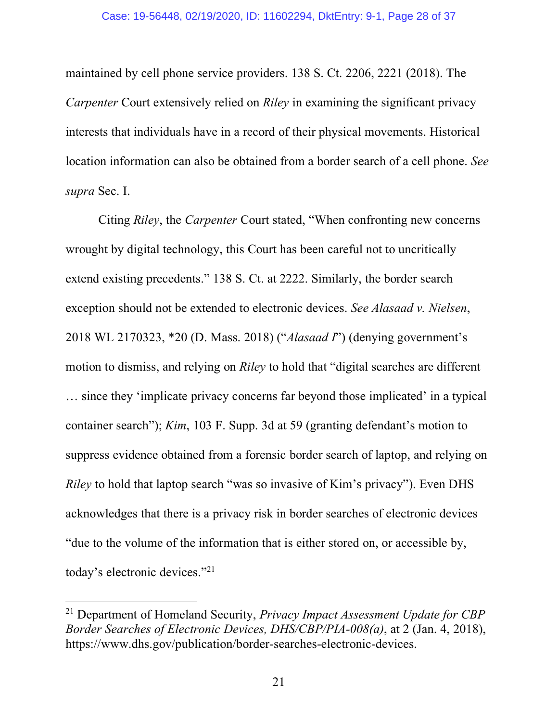maintained by cell phone service providers. 138 S. Ct. 2206, 2221 (2018). The *Carpenter* Court extensively relied on *Riley* in examining the significant privacy interests that individuals have in a record of their physical movements. Historical location information can also be obtained from a border search of a cell phone. *See supra* Sec. I.

Citing *Riley*, the *Carpenter* Court stated, "When confronting new concerns wrought by digital technology, this Court has been careful not to uncritically extend existing precedents." 138 S. Ct. at 2222. Similarly, the border search exception should not be extended to electronic devices. *See Alasaad v. Nielsen*, 2018 WL 2170323, \*20 (D. Mass. 2018) ("*Alasaad I*") (denying government's motion to dismiss, and relying on *Riley* to hold that "digital searches are different … since they 'implicate privacy concerns far beyond those implicated' in a typical container search"); *Kim*, 103 F. Supp. 3d at 59 (granting defendant's motion to suppress evidence obtained from a forensic border search of laptop, and relying on *Riley* to hold that laptop search "was so invasive of Kim's privacy"). Even DHS acknowledges that there is a privacy risk in border searches of electronic devices "due to the volume of the information that is either stored on, or accessible by, today's electronic devices."21

 <sup>21</sup> Department of Homeland Security, *Privacy Impact Assessment Update for CBP Border Searches of Electronic Devices, DHS/CBP/PIA-008(a)*, at 2 (Jan. 4, 2018), https://www.dhs.gov/publication/border-searches-electronic-devices.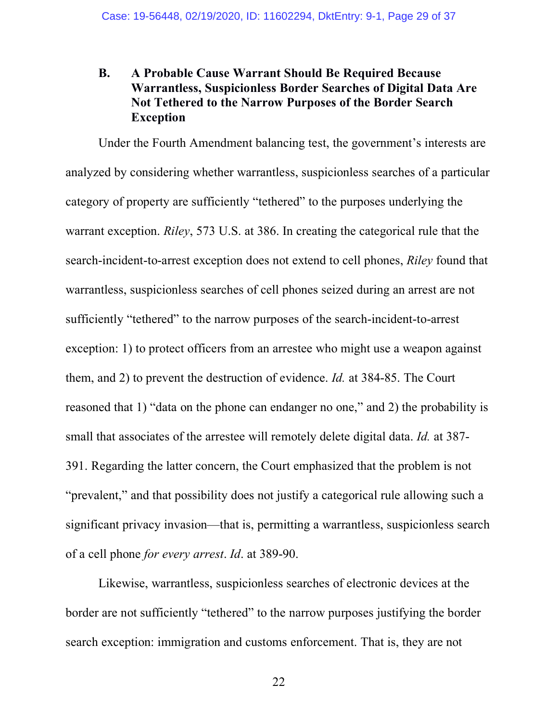# **B. A Probable Cause Warrant Should Be Required Because Warrantless, Suspicionless Border Searches of Digital Data Are Not Tethered to the Narrow Purposes of the Border Search Exception**

Under the Fourth Amendment balancing test, the government's interests are analyzed by considering whether warrantless, suspicionless searches of a particular category of property are sufficiently "tethered" to the purposes underlying the warrant exception. *Riley*, 573 U.S. at 386. In creating the categorical rule that the search-incident-to-arrest exception does not extend to cell phones, *Riley* found that warrantless, suspicionless searches of cell phones seized during an arrest are not sufficiently "tethered" to the narrow purposes of the search-incident-to-arrest exception: 1) to protect officers from an arrestee who might use a weapon against them, and 2) to prevent the destruction of evidence. *Id.* at 384-85. The Court reasoned that 1) "data on the phone can endanger no one," and 2) the probability is small that associates of the arrestee will remotely delete digital data. *Id.* at 387- 391. Regarding the latter concern, the Court emphasized that the problem is not "prevalent," and that possibility does not justify a categorical rule allowing such a significant privacy invasion—that is, permitting a warrantless, suspicionless search of a cell phone *for every arrest*. *Id*. at 389-90.

Likewise, warrantless, suspicionless searches of electronic devices at the border are not sufficiently "tethered" to the narrow purposes justifying the border search exception: immigration and customs enforcement. That is, they are not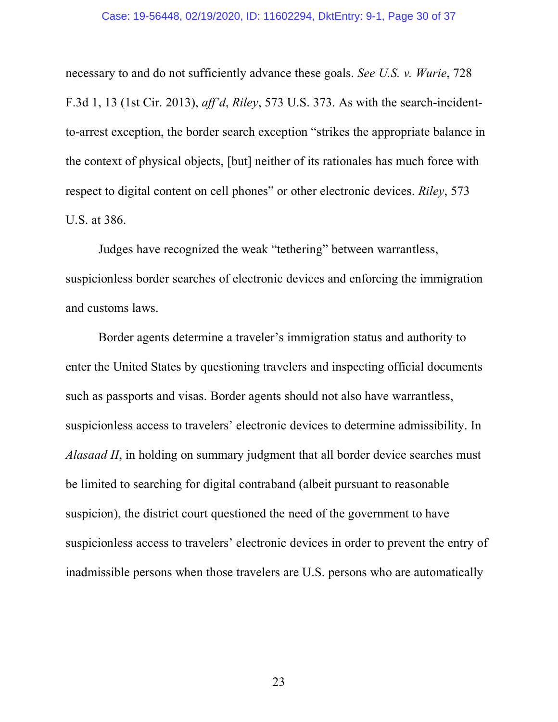#### Case: 19-56448, 02/19/2020, ID: 11602294, DktEntry: 9-1, Page 30 of 37

necessary to and do not sufficiently advance these goals. *See U.S. v. Wurie*, 728 F.3d 1, 13 (1st Cir. 2013), *aff'd*, *Riley*, 573 U.S. 373. As with the search-incidentto-arrest exception, the border search exception "strikes the appropriate balance in the context of physical objects, [but] neither of its rationales has much force with respect to digital content on cell phones" or other electronic devices. *Riley*, 573 U.S. at 386.

Judges have recognized the weak "tethering" between warrantless, suspicionless border searches of electronic devices and enforcing the immigration and customs laws.

Border agents determine a traveler's immigration status and authority to enter the United States by questioning travelers and inspecting official documents such as passports and visas. Border agents should not also have warrantless, suspicionless access to travelers' electronic devices to determine admissibility. In *Alasaad II*, in holding on summary judgment that all border device searches must be limited to searching for digital contraband (albeit pursuant to reasonable suspicion), the district court questioned the need of the government to have suspicionless access to travelers' electronic devices in order to prevent the entry of inadmissible persons when those travelers are U.S. persons who are automatically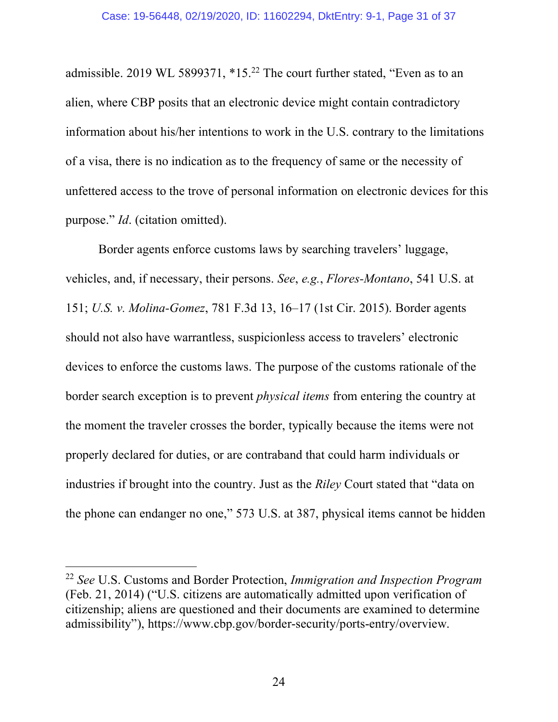admissible. 2019 WL 5899371, \*15.<sup>22</sup> The court further stated, "Even as to an alien, where CBP posits that an electronic device might contain contradictory information about his/her intentions to work in the U.S. contrary to the limitations of a visa, there is no indication as to the frequency of same or the necessity of unfettered access to the trove of personal information on electronic devices for this purpose." *Id*. (citation omitted).

Border agents enforce customs laws by searching travelers' luggage, vehicles, and, if necessary, their persons. *See*, *e.g.*, *Flores-Montano*, 541 U.S. at 151; *U.S. v. Molina-Gomez*, 781 F.3d 13, 16–17 (1st Cir. 2015). Border agents should not also have warrantless, suspicionless access to travelers' electronic devices to enforce the customs laws. The purpose of the customs rationale of the border search exception is to prevent *physical items* from entering the country at the moment the traveler crosses the border, typically because the items were not properly declared for duties, or are contraband that could harm individuals or industries if brought into the country. Just as the *Riley* Court stated that "data on the phone can endanger no one," 573 U.S. at 387, physical items cannot be hidden

 <sup>22</sup> *See* U.S. Customs and Border Protection, *Immigration and Inspection Program* (Feb. 21, 2014) ("U.S. citizens are automatically admitted upon verification of citizenship; aliens are questioned and their documents are examined to determine admissibility"), https://www.cbp.gov/border-security/ports-entry/overview.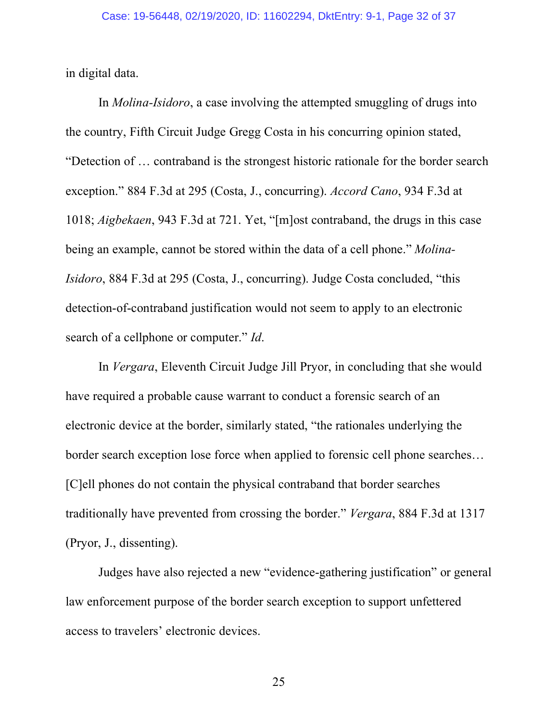in digital data.

In *Molina-Isidoro*, a case involving the attempted smuggling of drugs into the country, Fifth Circuit Judge Gregg Costa in his concurring opinion stated, "Detection of … contraband is the strongest historic rationale for the border search exception." 884 F.3d at 295 (Costa, J., concurring). *Accord Cano*, 934 F.3d at 1018; *Aigbekaen*, 943 F.3d at 721. Yet, "[m]ost contraband, the drugs in this case being an example, cannot be stored within the data of a cell phone." *Molina-Isidoro*, 884 F.3d at 295 (Costa, J., concurring). Judge Costa concluded, "this detection-of-contraband justification would not seem to apply to an electronic search of a cellphone or computer." *Id*.

In *Vergara*, Eleventh Circuit Judge Jill Pryor, in concluding that she would have required a probable cause warrant to conduct a forensic search of an electronic device at the border, similarly stated, "the rationales underlying the border search exception lose force when applied to forensic cell phone searches… [C]ell phones do not contain the physical contraband that border searches traditionally have prevented from crossing the border." *Vergara*, 884 F.3d at 1317 (Pryor, J., dissenting).

Judges have also rejected a new "evidence-gathering justification" or general law enforcement purpose of the border search exception to support unfettered access to travelers' electronic devices.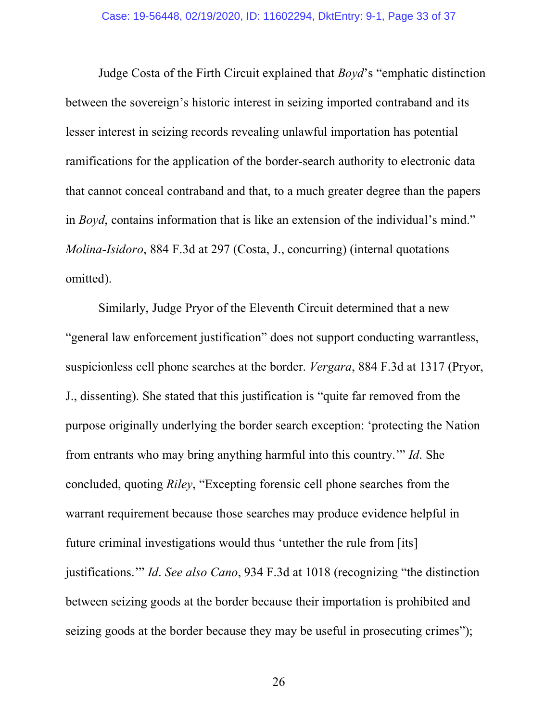Judge Costa of the Firth Circuit explained that *Boyd*'s "emphatic distinction between the sovereign's historic interest in seizing imported contraband and its lesser interest in seizing records revealing unlawful importation has potential ramifications for the application of the border-search authority to electronic data that cannot conceal contraband and that, to a much greater degree than the papers in *Boyd*, contains information that is like an extension of the individual's mind." *Molina-Isidoro*, 884 F.3d at 297 (Costa, J., concurring) (internal quotations omitted).

Similarly, Judge Pryor of the Eleventh Circuit determined that a new "general law enforcement justification" does not support conducting warrantless, suspicionless cell phone searches at the border. *Vergara*, 884 F.3d at 1317 (Pryor, J., dissenting). She stated that this justification is "quite far removed from the purpose originally underlying the border search exception: 'protecting the Nation from entrants who may bring anything harmful into this country.'" *Id*. She concluded, quoting *Riley*, "Excepting forensic cell phone searches from the warrant requirement because those searches may produce evidence helpful in future criminal investigations would thus 'untether the rule from [its] justifications.'" *Id*. *See also Cano*, 934 F.3d at 1018 (recognizing "the distinction between seizing goods at the border because their importation is prohibited and seizing goods at the border because they may be useful in prosecuting crimes");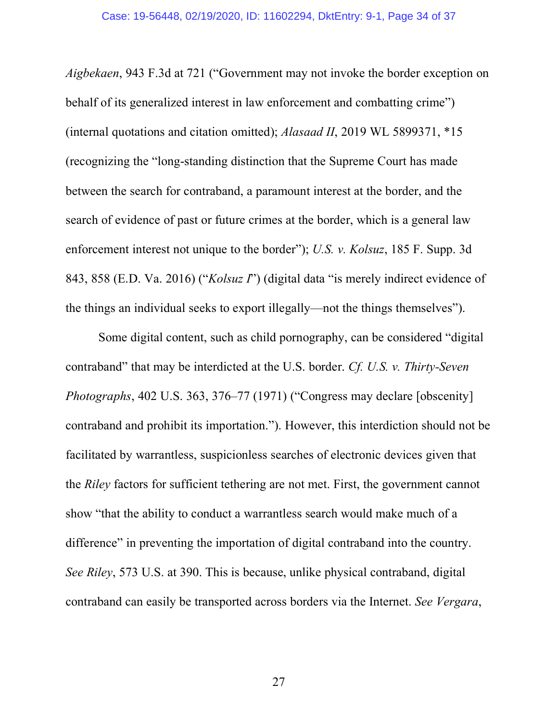*Aigbekaen*, 943 F.3d at 721 ("Government may not invoke the border exception on behalf of its generalized interest in law enforcement and combatting crime") (internal quotations and citation omitted); *Alasaad II*, 2019 WL 5899371, \*15 (recognizing the "long-standing distinction that the Supreme Court has made between the search for contraband, a paramount interest at the border, and the search of evidence of past or future crimes at the border, which is a general law enforcement interest not unique to the border"); *U.S. v. Kolsuz*, 185 F. Supp. 3d 843, 858 (E.D. Va. 2016) ("*Kolsuz I*") (digital data "is merely indirect evidence of the things an individual seeks to export illegally—not the things themselves").

Some digital content, such as child pornography, can be considered "digital contraband" that may be interdicted at the U.S. border. *Cf. U.S. v. Thirty-Seven Photographs*, 402 U.S. 363, 376–77 (1971) ("Congress may declare [obscenity] contraband and prohibit its importation."). However, this interdiction should not be facilitated by warrantless, suspicionless searches of electronic devices given that the *Riley* factors for sufficient tethering are not met. First, the government cannot show "that the ability to conduct a warrantless search would make much of a difference" in preventing the importation of digital contraband into the country. *See Riley*, 573 U.S. at 390. This is because, unlike physical contraband, digital contraband can easily be transported across borders via the Internet. *See Vergara*,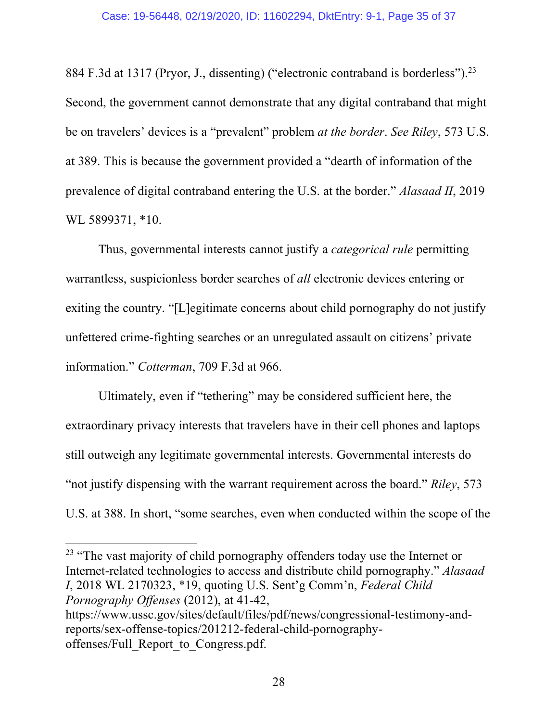884 F.3d at 1317 (Pryor, J., dissenting) ("electronic contraband is borderless").<sup>23</sup> Second, the government cannot demonstrate that any digital contraband that might be on travelers' devices is a "prevalent" problem *at the border*. *See Riley*, 573 U.S. at 389. This is because the government provided a "dearth of information of the prevalence of digital contraband entering the U.S. at the border." *Alasaad II*, 2019 WL 5899371, \*10.

Thus, governmental interests cannot justify a *categorical rule* permitting warrantless, suspicionless border searches of *all* electronic devices entering or exiting the country. "[L]egitimate concerns about child pornography do not justify unfettered crime-fighting searches or an unregulated assault on citizens' private information." *Cotterman*, 709 F.3d at 966.

Ultimately, even if "tethering" may be considered sufficient here, the extraordinary privacy interests that travelers have in their cell phones and laptops still outweigh any legitimate governmental interests. Governmental interests do "not justify dispensing with the warrant requirement across the board." *Riley*, 573 U.S. at 388. In short, "some searches, even when conducted within the scope of the

<sup>23</sup> "The vast majority of child pornography offenders today use the Internet or Internet-related technologies to access and distribute child pornography." *Alasaad I*, 2018 WL 2170323, \*19, quoting U.S. Sent'g Comm'n, *Federal Child Pornography Offenses* (2012), at 41-42, https://www.ussc.gov/sites/default/files/pdf/news/congressional-testimony-andreports/sex-offense-topics/201212-federal-child-pornography-

offenses/Full\_Report\_to\_Congress.pdf.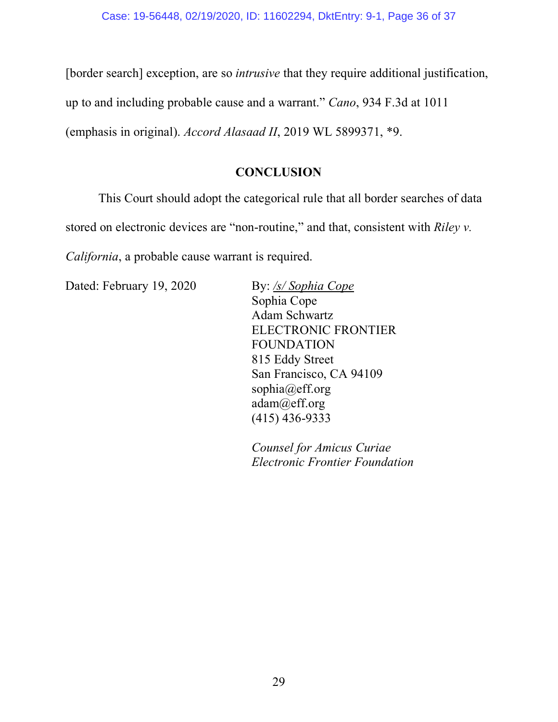[border search] exception, are so *intrusive* that they require additional justification,

up to and including probable cause and a warrant." *Cano*, 934 F.3d at 1011

(emphasis in original). *Accord Alasaad II*, 2019 WL 5899371, \*9.

# **CONCLUSION**

This Court should adopt the categorical rule that all border searches of data stored on electronic devices are "non-routine," and that, consistent with *Riley v. California*, a probable cause warrant is required.

Dated: February 19, 2020 By: /s/ Sophia Cope

Sophia Cope Adam Schwartz ELECTRONIC FRONTIER FOUNDATION 815 Eddy Street San Francisco, CA 94109 sophia@eff.org adam@eff.org (415) 436-9333

*Counsel for Amicus Curiae Electronic Frontier Foundation*